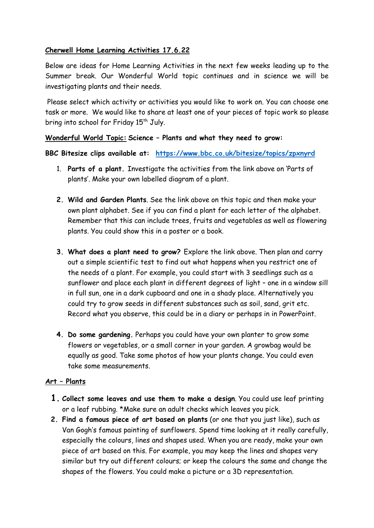## **Cherwell Home Learning Activities 17.6.22**

Below are ideas for Home Learning Activities in the next few weeks leading up to the Summer break. Our Wonderful World topic continues and in science we will be investigating plants and their needs.

Please select which activity or activities you would like to work on. You can choose one task or more. We would like to share at least one of your pieces of topic work so please bring into school for Friday 15<sup>th</sup> July.

## **Wonderful World Topic: Science – Plants and what they need to grow:**

**BBC Bitesize clips available at: <https://www.bbc.co.uk/bitesize/topics/zpxnyrd>**

- 1. **Parts of a plant.** Investigate the activities from the link above on 'Parts of plants'. Make your own labelled diagram of a plant.
- **2. Wild and Garden Plants**. See the link above on this topic and then make your own plant alphabet. See if you can find a plant for each letter of the alphabet. Remember that this can include trees, fruits and vegetables as well as flowering plants. You could show this in a poster or a book.
- **3. What does a plant need to grow?** Explore the link above. Then plan and carry out a simple scientific test to find out what happens when you restrict one of the needs of a plant. For example, you could start with 3 seedlings such as a sunflower and place each plant in different degrees of light – one in a window sill in full sun, one in a dark cupboard and one in a shady place. Alternatively you could try to grow seeds in different substances such as soil, sand, grit etc. Record what you observe, this could be in a diary or perhaps in in PowerPoint.
- **4. Do some gardening.** Perhaps you could have your own planter to grow some flowers or vegetables, or a small corner in your garden. A growbag would be equally as good. Take some photos of how your plants change. You could even take some measurements.

## **Art – Plants**

- **1. Collect some leaves and use them to make a design**. You could use leaf printing or a leaf rubbing. \*Make sure an adult checks which leaves you pick.
- **2. Find a famous piece of art based on plants** (or one that you just like), such as Van Gogh's famous painting of sunflowers. Spend time looking at it really carefully, especially the colours, lines and shapes used. When you are ready, make your own piece of art based on this. For example, you may keep the lines and shapes very similar but try out different colours; or keep the colours the same and change the shapes of the flowers. You could make a picture or a 3D representation.